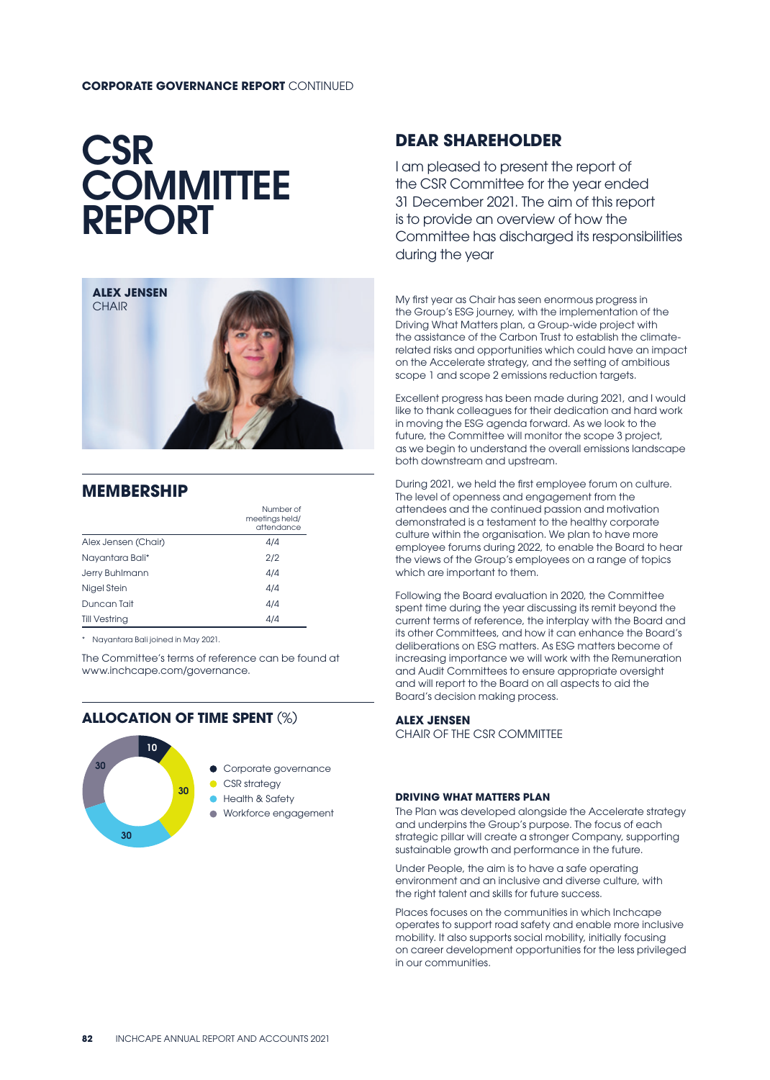#### **CORPORATE GOVERNANCE REPORT** CONTINUED

# **CSR COMMITTEE** REPORT



## **MEMBERSHIP**

|                      | Number of<br>meetings held/<br>attendance |
|----------------------|-------------------------------------------|
| Alex Jensen (Chair)  | 4/4                                       |
| Nayantara Bali*      | 2/2                                       |
| Jerry Buhlmann       | 4/4                                       |
| Nigel Stein          | 4/4                                       |
| Duncan Tait          | 4/4                                       |
| <b>Till Vestring</b> | 4/4                                       |

\* Nayantara Bali joined in May 2021.

The Committee's terms of reference can be found at www.inchcape.com/governance.

### **ALLOCATION OF TIME SPENT** (%)



## **DEAR SHAREHOLDER**

I am pleased to present the report of the CSR Committee for the year ended 31 December 2021. The aim of this report is to provide an overview of how the Committee has discharged its responsibilities during the year

My first year as Chair has seen enormous progress in the Group's ESG journey, with the implementation of the Driving What Matters plan, a Group-wide project with the assistance of the Carbon Trust to establish the climaterelated risks and opportunities which could have an impact on the Accelerate strategy, and the setting of ambitious scope 1 and scope 2 emissions reduction targets.

Excellent progress has been made during 2021, and I would like to thank colleagues for their dedication and hard work in moving the ESG agenda forward. As we look to the future, the Committee will monitor the scope 3 project, as we begin to understand the overall emissions landscape both downstream and upstream.

During 2021, we held the first employee forum on culture. The level of openness and engagement from the attendees and the continued passion and motivation demonstrated is a testament to the healthy corporate culture within the organisation. We plan to have more employee forums during 2022, to enable the Board to hear the views of the Group's employees on a range of topics which are important to them.

Following the Board evaluation in 2020, the Committee spent time during the year discussing its remit beyond the current terms of reference, the interplay with the Board and its other Committees, and how it can enhance the Board's deliberations on ESG matters. As ESG matters become of increasing importance we will work with the Remuneration and Audit Committees to ensure appropriate oversight and will report to the Board on all aspects to aid the Board's decision making process.

#### **ALEX JENSEN**

CHAIR OF THE CSR COMMITTEE

#### **DRIVING WHAT MATTERS PLAN**

The Plan was developed alongside the Accelerate strategy and underpins the Group's purpose. The focus of each strategic pillar will create a stronger Company, supporting sustainable growth and performance in the future.

Under People, the aim is to have a safe operating environment and an inclusive and diverse culture, with the right talent and skills for future success.

Places focuses on the communities in which Inchcape operates to support road safety and enable more inclusive mobility. It also supports social mobility, initially focusing on career development opportunities for the less privileged in our communities.